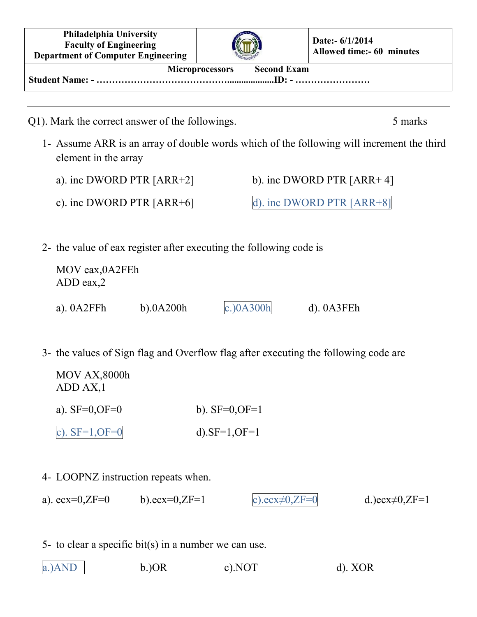| Philadelphia University<br><b>Faculty of Engineering</b><br><b>Department of Computer Engineering</b>                   |                  |                  |                             | Date:- 6/1/2014<br><b>Allowed time:- 60 minutes</b>                                                  |
|-------------------------------------------------------------------------------------------------------------------------|------------------|------------------|-----------------------------|------------------------------------------------------------------------------------------------------|
| <b>Second Exam</b><br>Microprocessors                                                                                   |                  |                  |                             |                                                                                                      |
|                                                                                                                         |                  |                  |                             |                                                                                                      |
| Q1). Mark the correct answer of the followings.<br>element in the array                                                 |                  |                  |                             | 5 marks<br>1- Assume ARR is an array of double words which of the following will increment the third |
| a). inc DWORD PTR $[ARR+2]$                                                                                             |                  |                  | b). inc DWORD PTR $[ARR+4]$ |                                                                                                      |
| c). inc DWORD PTR $[ARR+6]$                                                                                             |                  |                  | d). inc DWORD PTR [ARR+8]   |                                                                                                      |
| 2- the value of eax register after executing the following code is<br>MOV eax, 0A2FEh<br>$ADD$ eax, $2$<br>a). $0A2FFh$ | $b)$ .0A200h     | $c.$ ) $0A300h$  | $d)$ . $0A3FEh$             |                                                                                                      |
| 3- the values of Sign flag and Overflow flag after executing the following code are                                     |                  |                  |                             |                                                                                                      |
| MOV AX,8000h<br>ADD AX, 1                                                                                               |                  |                  |                             |                                                                                                      |
| a). $SF=0, OF=0$                                                                                                        |                  | b). $SF=0, OF=1$ |                             |                                                                                                      |
| c). $SF=1, OF=0$                                                                                                        |                  | d). $SF=1, OF=1$ |                             |                                                                                                      |
| 4- LOOPNZ instruction repeats when.                                                                                     |                  |                  |                             |                                                                                                      |
| a). $ecx=0, ZF=0$                                                                                                       | b).ecx= $0,ZF=1$ |                  | c).ecx $\neq$ 0,ZF=0        | d.)ecx $\neq 0$ ,ZF=1                                                                                |
| 5- to clear a specific bit(s) in a number we can use.<br>a.)AND                                                         | $b$ .) $OR$      | $c)$ . NOT       |                             | $d)$ . XOR                                                                                           |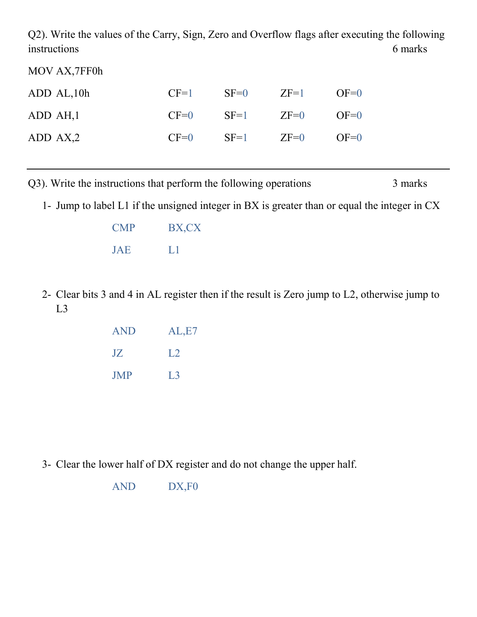Q2). Write the values of the Carry, Sign, Zero and Overflow flags after executing the following instructions 6 marks

MOV AX,7FF0h

| ADD AL, 10h | $CF=1$ | $SF=0$ $ZF=1$        | $OF=0$    |
|-------------|--------|----------------------|-----------|
| ADD AH, 1   |        | $CF=0$ $SF=1$ $ZF=0$ | $O (E=0)$ |
| ADD AX,2    | $CF=0$ | $SF=1$ $ZF=0$        | $O (E=0)$ |

Q3). Write the instructions that perform the following operations 3 marks

1- Jump to label L1 if the unsigned integer in BX is greater than or equal the integer in CX

| <b>CMP</b> | BX,CX |
|------------|-------|
| <b>JAE</b> | Ы     |

2- Clear bits 3 and 4 in AL register then if the result is Zero jump to L2, otherwise jump to L3

| <b>AND</b> | AL,E7 |
|------------|-------|
| JZ         | 1.2.  |
| <b>JMP</b> | L3    |

3- Clear the lower half of DX register and do not change the upper half.

AND DX,F0